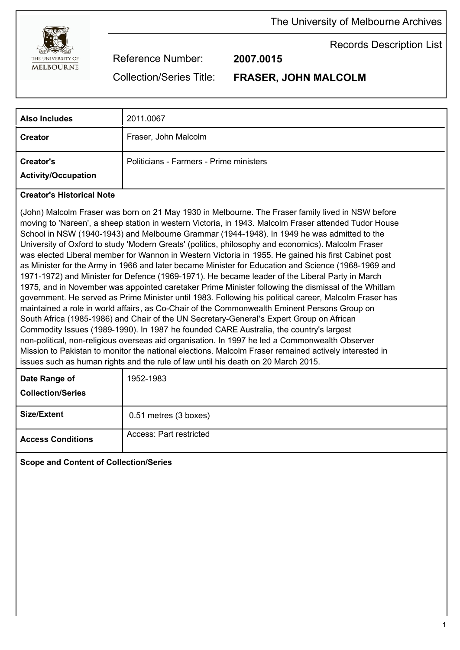

The University of Melbourne Archives

Records Description List

Reference Number: **2007.0015**

Collection/Series Title: **FRASER, JOHN MALCOLM**

| <b>Also Includes</b>                           | 2011.0067                               |
|------------------------------------------------|-----------------------------------------|
| <b>Creator</b>                                 | Fraser, John Malcolm                    |
| <b>Creator's</b><br><b>Activity/Occupation</b> | Politicians - Farmers - Prime ministers |

## **Creator's Historical Note**

(John) Malcolm Fraser was born on 21 May 1930 in Melbourne. The Fraser family lived in NSW before moving to 'Nareen', a sheep station in western Victoria, in 1943. Malcolm Fraser attended Tudor House School in NSW (1940-1943) and Melbourne Grammar (1944-1948). In 1949 he was admitted to the University of Oxford to study 'Modern Greats' (politics, philosophy and economics). Malcolm Fraser was elected Liberal member for Wannon in Western Victoria in 1955. He gained his first Cabinet post as Minister for the Army in 1966 and later became Minister for Education and Science (1968-1969 and 1971-1972) and Minister for Defence (1969-1971). He became leader of the Liberal Party in March 1975, and in November was appointed caretaker Prime Minister following the dismissal of the Whitlam government. He served as Prime Minister until 1983. Following his political career, Malcolm Fraser has maintained a role in world affairs, as Co-Chair of the Commonwealth Eminent Persons Group on South Africa (1985-1986) and Chair of the UN Secretary-General's Expert Group on African Commodity Issues (1989-1990). In 1987 he founded CARE Australia, the country's largest non-political, non-religious overseas aid organisation. In 1997 he led a Commonwealth Observer Mission to Pakistan to monitor the national elections. Malcolm Fraser remained actively interested in issues such as human rights and the rule of law until his death on 20 March 2015.

| Date Range of<br><b>Collection/Series</b> | 1952-1983               |
|-------------------------------------------|-------------------------|
| <b>Size/Extent</b>                        | 0.51 metres (3 boxes)   |
| <b>Access Conditions</b>                  | Access: Part restricted |

# **Scope and Content of Collection/Series**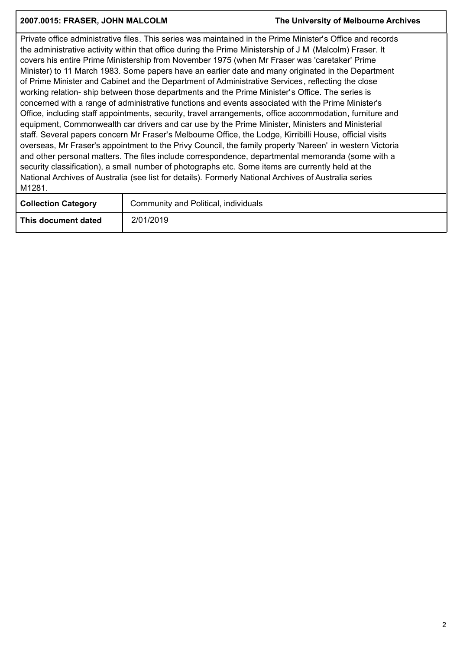### **2007.0015: FRASER, JOHN MALCOLM The University of Melbourne Archives**

Private office administrative files. This series was maintained in the Prime Minister's Office and records the administrative activity within that office during the Prime Ministership of J M (Malcolm) Fraser. It covers his entire Prime Ministership from November 1975 (when Mr Fraser was 'caretaker' Prime Minister) to 11 March 1983. Some papers have an earlier date and many originated in the Department of Prime Minister and Cabinet and the Department of Administrative Services, reflecting the close working relation- ship between those departments and the Prime Minister's Office. The series is concerned with a range of administrative functions and events associated with the Prime Minister's Office, including staff appointments, security, travel arrangements, office accommodation, furniture and equipment, Commonwealth car drivers and car use by the Prime Minister, Ministers and Ministerial staff. Several papers concern Mr Fraser's Melbourne Office, the Lodge, Kirribilli House, official visits overseas, Mr Fraser's appointment to the Privy Council, the family property 'Nareen' in western Victoria and other personal matters. The files include correspondence, departmental memoranda (some with a security classification), a small number of photographs etc. Some items are currently held at the National Archives of Australia (see list for details). Formerly National Archives of Australia series M1281.

| <b>Collection Category</b> | Community and Political, individuals |  |
|----------------------------|--------------------------------------|--|
| This document dated        | 2/01/2019                            |  |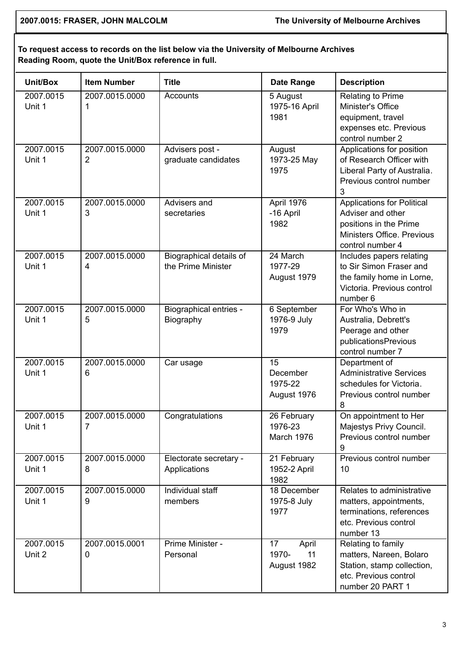**2007.0015: FRASER, JOHN MALCOLM The University of Melbourne Archives**

# **To request access to records on the list below via the University of Melbourne Archives Reading Room, quote the Unit/Box reference in full.**

| Unit/Box            | <b>Item Number</b>               | <b>Title</b>                                  | Date Range                                | <b>Description</b>                                                                                                                 |
|---------------------|----------------------------------|-----------------------------------------------|-------------------------------------------|------------------------------------------------------------------------------------------------------------------------------------|
| 2007.0015<br>Unit 1 | 2007.0015.0000<br>1              | Accounts                                      | 5 August<br>1975-16 April<br>1981         | <b>Relating to Prime</b><br>Minister's Office<br>equipment, travel<br>expenses etc. Previous<br>control number 2                   |
| 2007.0015<br>Unit 1 | 2007.0015.0000<br>$\overline{2}$ | Advisers post -<br>graduate candidates        | August<br>1973-25 May<br>1975             | Applications for position<br>of Research Officer with<br>Liberal Party of Australia.<br>Previous control number<br>3               |
| 2007.0015<br>Unit 1 | 2007.0015.0000<br>3              | Advisers and<br>secretaries                   | April 1976<br>-16 April<br>1982           | <b>Applications for Political</b><br>Adviser and other<br>positions in the Prime<br>Ministers Office. Previous<br>control number 4 |
| 2007.0015<br>Unit 1 | 2007.0015.0000<br>4              | Biographical details of<br>the Prime Minister | 24 March<br>1977-29<br>August 1979        | Includes papers relating<br>to Sir Simon Fraser and<br>the family home in Lorne,<br>Victoria. Previous control<br>number 6         |
| 2007.0015<br>Unit 1 | 2007.0015.0000<br>5              | <b>Biographical entries -</b><br>Biography    | 6 September<br>1976-9 July<br>1979        | For Who's Who in<br>Australia, Debrett's<br>Peerage and other<br>publicationsPrevious<br>control number 7                          |
| 2007.0015<br>Unit 1 | 2007.0015.0000<br>6              | Car usage                                     | 15<br>December<br>1975-22<br>August 1976  | Department of<br><b>Administrative Services</b><br>schedules for Victoria.<br>Previous control number<br>8                         |
| 2007.0015<br>Unit 1 | 2007.0015.0000<br>7              | Congratulations                               | 26 February<br>1976-23<br>March 1976      | On appointment to Her<br>Majestys Privy Council.<br>Previous control number<br>9                                                   |
| 2007.0015<br>Unit 1 | 2007.0015.0000<br>8              | Electorate secretary -<br>Applications        | 21 February<br>1952-2 April<br>1982       | Previous control number<br>10                                                                                                      |
| 2007.0015<br>Unit 1 | 2007.0015.0000<br>9              | Individual staff<br>members                   | 18 December<br>1975-8 July<br>1977        | Relates to administrative<br>matters, appointments,<br>terminations, references<br>etc. Previous control<br>number 13              |
| 2007.0015<br>Unit 2 | 2007.0015.0001<br>$\mathbf 0$    | Prime Minister -<br>Personal                  | April<br>17<br>1970-<br>11<br>August 1982 | Relating to family<br>matters, Nareen, Bolaro<br>Station, stamp collection,<br>etc. Previous control<br>number 20 PART 1           |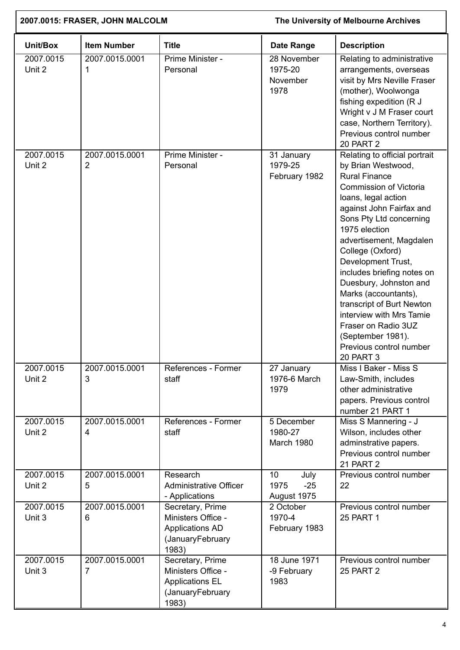| 2007.0015: FRASER, JOHN MALCOLM |                     | The University of Melbourne Archives                                                          |                                            |                                                                                                                                                                                                                                                                                                                                                                                                                                                                                                                      |
|---------------------------------|---------------------|-----------------------------------------------------------------------------------------------|--------------------------------------------|----------------------------------------------------------------------------------------------------------------------------------------------------------------------------------------------------------------------------------------------------------------------------------------------------------------------------------------------------------------------------------------------------------------------------------------------------------------------------------------------------------------------|
| Unit/Box                        | <b>Item Number</b>  | <b>Title</b>                                                                                  | <b>Date Range</b>                          | <b>Description</b>                                                                                                                                                                                                                                                                                                                                                                                                                                                                                                   |
| 2007.0015<br>Unit 2             | 2007.0015.0001<br>1 | Prime Minister -<br>Personal                                                                  | 28 November<br>1975-20<br>November<br>1978 | Relating to administrative<br>arrangements, overseas<br>visit by Mrs Neville Fraser<br>(mother), Woolwonga<br>fishing expedition (R J<br>Wright v J M Fraser court<br>case, Northern Territory).<br>Previous control number<br><b>20 PART 2</b>                                                                                                                                                                                                                                                                      |
| 2007.0015<br>Unit 2             | 2007.0015.0001<br>2 | Prime Minister -<br>Personal                                                                  | 31 January<br>1979-25<br>February 1982     | Relating to official portrait<br>by Brian Westwood,<br><b>Rural Finance</b><br><b>Commission of Victoria</b><br>loans, legal action<br>against John Fairfax and<br>Sons Pty Ltd concerning<br>1975 election<br>advertisement, Magdalen<br>College (Oxford)<br>Development Trust,<br>includes briefing notes on<br>Duesbury, Johnston and<br>Marks (accountants),<br>transcript of Burt Newton<br>interview with Mrs Tamie<br>Fraser on Radio 3UZ<br>(September 1981).<br>Previous control number<br><b>20 PART 3</b> |
| 2007.0015<br>Unit 2             | 2007.0015.0001<br>3 | References - Former<br>staff                                                                  | 27 January<br>1976-6 March<br>1979         | Miss I Baker - Miss S<br>Law-Smith, includes<br>other administrative<br>papers. Previous control<br>number 21 PART 1                                                                                                                                                                                                                                                                                                                                                                                                 |
| 2007.0015<br>Unit 2             | 2007.0015.0001<br>4 | References - Former<br>staff                                                                  | 5 December<br>1980-27<br>March 1980        | Miss S Mannering - J<br>Wilson, includes other<br>adminstrative papers.<br>Previous control number<br><b>21 PART 2</b>                                                                                                                                                                                                                                                                                                                                                                                               |
| 2007.0015<br>Unit 2             | 2007.0015.0001<br>5 | Research<br><b>Administrative Officer</b><br>- Applications                                   | 10<br>July<br>1975<br>$-25$<br>August 1975 | Previous control number<br>22                                                                                                                                                                                                                                                                                                                                                                                                                                                                                        |
| 2007.0015<br>Unit 3             | 2007.0015.0001<br>6 | Secretary, Prime<br>Ministers Office -<br><b>Applications AD</b><br>(JanuaryFebruary<br>1983) | 2 October<br>1970-4<br>February 1983       | Previous control number<br><b>25 PART 1</b>                                                                                                                                                                                                                                                                                                                                                                                                                                                                          |
| 2007.0015<br>Unit 3             | 2007.0015.0001<br>7 | Secretary, Prime<br>Ministers Office -<br><b>Applications EL</b><br>(JanuaryFebruary<br>1983) | 18 June 1971<br>-9 February<br>1983        | Previous control number<br><b>25 PART 2</b>                                                                                                                                                                                                                                                                                                                                                                                                                                                                          |